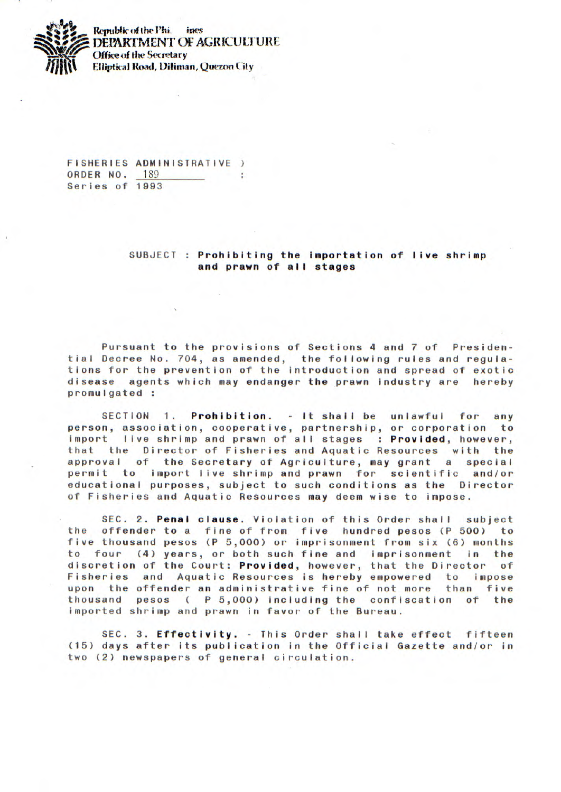

**Republic of the Phi.** ines **DEPARTMENT OF AGRICULTURE Office of the Secretary Elliptical Road, Diliman, Quezon City** 

FISHERIES ADMINISTRATIVE) ORDER NO. 189 × Series of 1993

## SUBJECT : Prohibiting the importation of live shrimp and prawn of all **stages**

Pursuant to the provisions of Sections 4 and 7 of Presidential Decree No. 704, as amended, the following rules and regulations for the prevention of the introduction and spread of exotic disease agents which may endanger the prawn industry are hereby promulgated

SECTION 1. Prohibition. - It shall be unlawful for any person, association, cooperative, partnership, or corporation to import live shrimp and prawn of all stages : Provided, however, that the Director of Fisheries and Aquatic Resources with the approval of the Secretary of Agriculture, may grant a special permit to import live shrimp and prawn for scientific and/or educational purposes, subject to such conditions as the Director of Fisheries and Aquatic Resources may deem wise to impose.

SEC. 2. **Penal** clause. Violation of this Order shall subject the offender to a fine of from five hundred pesos (P 500) to five thousand pesos (P 5,000) or imprisonment from six (6) months to four (4) years, or both such fine and imprisonment in the discretion of the Court: Provided, however, that the Director of Fisheries and Aquatic Resources is hereby empowered to impose upon the offender an administrative fine of not more than five thousand pesos ( P 5,000) including the confiscation of the imported shrimp and prawn in favor of the Bureau.

SEC. 3. Effectivity. - This Order shall take effect fifteen (15) days after its publication in the Official Gazette and/or in two (2) newspapers of general circulation.